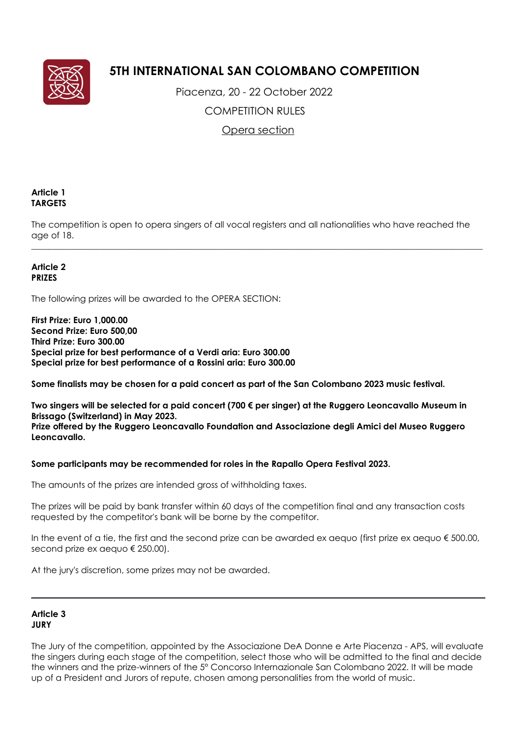

# **5TH INTERNATIONAL SAN COLOMBANO COMPETITION**

 Piacenza, 20 - 22 October 2022 COMPETITION RULES

Opera section

## **Article 1 TARGETS**

The competition is open to opera singers of all vocal registers and all nationalities who have reached the age of 18.

 $\_$  ,  $\_$  ,  $\_$  ,  $\_$  ,  $\_$  ,  $\_$  ,  $\_$  ,  $\_$  ,  $\_$  ,  $\_$  ,  $\_$  ,  $\_$  ,  $\_$  ,  $\_$  ,  $\_$  ,  $\_$  ,  $\_$  ,  $\_$  ,  $\_$  ,  $\_$  ,  $\_$  ,  $\_$  ,  $\_$  ,  $\_$  ,  $\_$  ,  $\_$  ,  $\_$  ,  $\_$  ,  $\_$  ,  $\_$  ,  $\_$  ,  $\_$  ,  $\_$  ,  $\_$  ,  $\_$  ,  $\_$  ,  $\_$  ,

## **Article 2 PRIZES**

The following prizes will be awarded to the OPERA SECTION:

**First Prize: Euro 1,000.00 Second Prize: Euro 500,00 Third Prize: Euro 300.00 Special prize for best performance of a Verdi aria: Euro 300.00 Special prize for best performance of a Rossini aria: Euro 300.00**

**Some finalists may be chosen for a paid concert as part of the San Colombano 2023 music festival.**

**Two singers will be selected for a paid concert (700 € per singer) at the Ruggero Leoncavallo Museum in Brissago (Switzerland) in May 2023. Prize offered by the Ruggero Leoncavallo Foundation and Associazione degli Amici del Museo Ruggero Leoncavallo.**

## **Some participants may be recommended for roles in the Rapallo Opera Festival 2023.**

The amounts of the prizes are intended gross of withholding taxes.

The prizes will be paid by bank transfer within 60 days of the competition final and any transaction costs requested by the competitor's bank will be borne by the competitor.

In the event of a tie, the first and the second prize can be awarded ex aequo (first prize ex aequo  $\epsilon$  500.00, second prize ex aequo € 250.00).

At the jury's discretion, some prizes may not be awarded.

## **Article 3 JURY**

The Jury of the competition, appointed by the Associazione DeA Donne e Arte Piacenza - APS, will evaluate the singers during each stage of the competition, select those who will be admitted to the final and decide the winners and the prize-winners of the 5° Concorso Internazionale San Colombano 2022. It will be made up of a President and Jurors of repute, chosen among personalities from the world of music.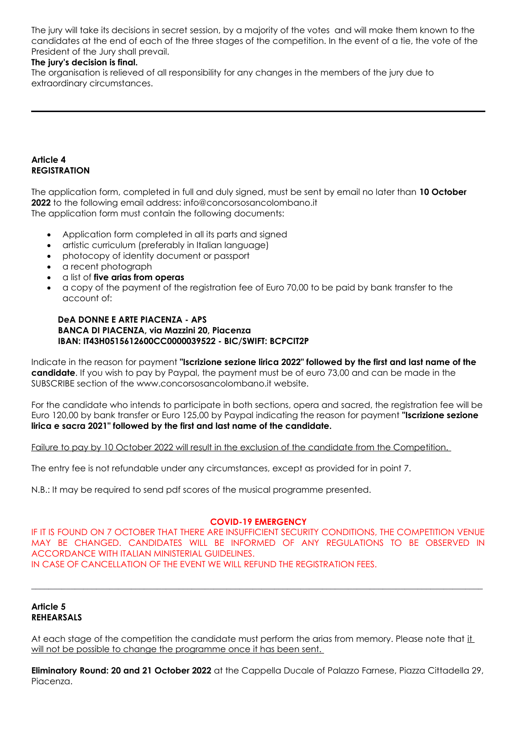The jury will take its decisions in secret session, by a majority of the votes and will make them known to the candidates at the end of each of the three stages of the competition. In the event of a tie, the vote of the President of the Jury shall prevail.

## **The jury's decision is final.**

The organisation is relieved of all responsibility for any changes in the members of the jury due to extraordinary circumstances.

### **Article 4 REGISTRATION**

The application form, completed in full and duly signed, must be sent by email no later than **10 October 2022** to the following email address: info@concorsosancolombano.it The application form must contain the following documents:

- Application form completed in all its parts and signed
- artistic curriculum (preferably in Italian language)
- photocopy of identity document or passport
- a recent photograph
- a list of **five arias from operas**
- a copy of the payment of the registration fee of Euro 70,00 to be paid by bank transfer to the account of:

#### **DeA DONNE E ARTE PIACENZA - APS BANCA DI PIACENZA, via Mazzini 20, Piacenza IBAN: IT43H0515612600CC0000039522 - BIC/SWIFT: BCPCIT2P**

Indicate in the reason for payment **"Iscrizione sezione lirica 2022" followed by the first and last name of the candidate**. If you wish to pay by Paypal, the payment must be of euro 73,00 and can be made in the SUBSCRIBE section of the www.concorsosancolombano.it website.

For the candidate who intends to participate in both sections, opera and sacred, the registration fee will be Euro 120,00 by bank transfer or Euro 125,00 by Paypal indicating the reason for payment **"Iscrizione sezione lirica e sacra 2021" followed by the first and last name of the candidate.**

Failure to pay by 10 October 2022 will result in the exclusion of the candidate from the Competition.

The entry fee is not refundable under any circumstances, except as provided for in point 7.

N.B.: It may be required to send pdf scores of the musical programme presented.

#### **COVID-19 EMERGENCY**

IF IT IS FOUND ON 7 OCTOBER THAT THERE ARE INSUFFICIENT SECURITY CONDITIONS, THE COMPETITION VENUE MAY BE CHANGED. CANDIDATES WILL BE INFORMED OF ANY REGULATIONS TO BE OBSERVED IN ACCORDANCE WITH ITALIAN MINISTERIAL GUIDELINES. IN CASE OF CANCELLATION OF THE EVENT WE WILL REFUND THE REGISTRATION FEES.

 $\_$  ,  $\_$  ,  $\_$  ,  $\_$  ,  $\_$  ,  $\_$  ,  $\_$  ,  $\_$  ,  $\_$  ,  $\_$  ,  $\_$  ,  $\_$  ,  $\_$  ,  $\_$  ,  $\_$  ,  $\_$  ,  $\_$  ,  $\_$  ,  $\_$  ,  $\_$  ,  $\_$  ,  $\_$  ,  $\_$  ,  $\_$  ,  $\_$  ,  $\_$  ,  $\_$  ,  $\_$  ,  $\_$  ,  $\_$  ,  $\_$  ,  $\_$  ,  $\_$  ,  $\_$  ,  $\_$  ,  $\_$  ,  $\_$  ,

#### **Article 5 REHEARSALS**

At each stage of the competition the candidate must perform the arias from memory. Please note that it will not be possible to change the programme once it has been sent.

**Eliminatory Round: 20 and 21 October 2022** at the Cappella Ducale of Palazzo Farnese, Piazza Cittadella 29, Piacenza.